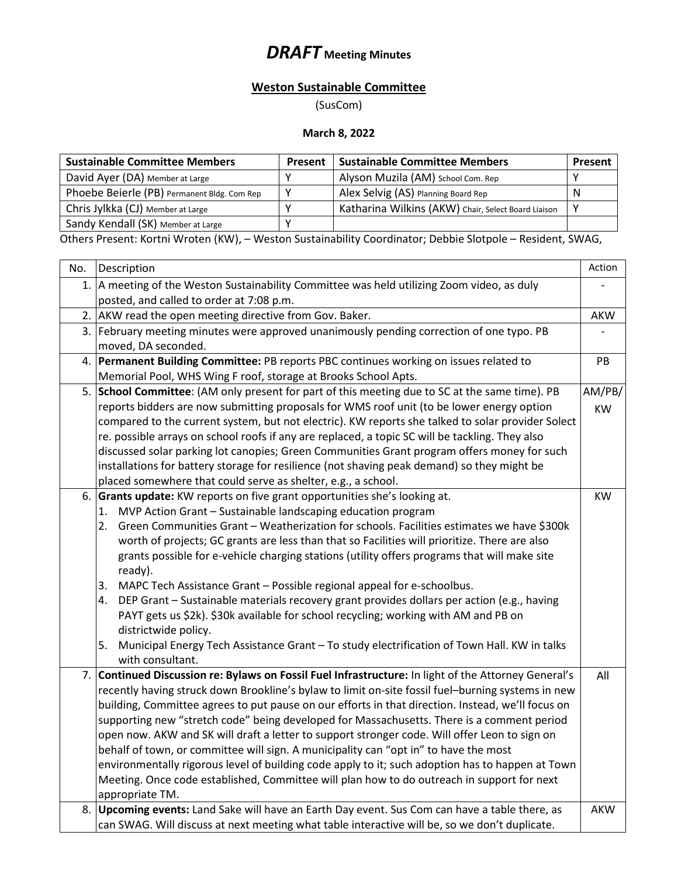## *DRAFT* **Meeting Minutes**

## **Weston Sustainable Committee**

(SusCom)

## **March 8, 2022**

| <b>Sustainable Committee Members</b>        | <b>Present</b> | <b>Sustainable Committee Members</b>                | <b>Present</b> |
|---------------------------------------------|----------------|-----------------------------------------------------|----------------|
| David Ayer (DA) Member at Large             |                | Alyson Muzila (AM) School Com. Rep                  |                |
| Phoebe Beierle (PB) Permanent Bldg. Com Rep |                | Alex Selvig (AS) Planning Board Rep                 |                |
| Chris Jylkka (CJ) Member at Large           |                | Katharina Wilkins (AKW) Chair, Select Board Liaison |                |
| Sandy Kendall (SK) Member at Large          |                |                                                     |                |

Others Present: Kortni Wroten (KW), – Weston Sustainability Coordinator; Debbie Slotpole – Resident, SWAG,

| No. | Description                                                                                                                                                                                     | Action     |
|-----|-------------------------------------------------------------------------------------------------------------------------------------------------------------------------------------------------|------------|
| 1.  | A meeting of the Weston Sustainability Committee was held utilizing Zoom video, as duly                                                                                                         |            |
|     | posted, and called to order at 7:08 p.m.                                                                                                                                                        |            |
| 2.  | AKW read the open meeting directive from Gov. Baker.                                                                                                                                            | AKW        |
|     | 3. February meeting minutes were approved unanimously pending correction of one typo. PB<br>moved, DA seconded.                                                                                 |            |
|     | 4. Permanent Building Committee: PB reports PBC continues working on issues related to                                                                                                          | PB         |
|     | Memorial Pool, WHS Wing F roof, storage at Brooks School Apts.                                                                                                                                  |            |
|     | 5. School Committee: (AM only present for part of this meeting due to SC at the same time). PB                                                                                                  | AM/PB/     |
|     | reports bidders are now submitting proposals for WMS roof unit (to be lower energy option                                                                                                       | <b>KW</b>  |
|     | compared to the current system, but not electric). KW reports she talked to solar provider Solect                                                                                               |            |
|     | re. possible arrays on school roofs if any are replaced, a topic SC will be tackling. They also                                                                                                 |            |
|     | discussed solar parking lot canopies; Green Communities Grant program offers money for such                                                                                                     |            |
|     | installations for battery storage for resilience (not shaving peak demand) so they might be                                                                                                     |            |
|     | placed somewhere that could serve as shelter, e.g., a school.                                                                                                                                   |            |
|     | 6. Grants update: KW reports on five grant opportunities she's looking at.                                                                                                                      | кw         |
|     | 1. MVP Action Grant - Sustainable landscaping education program                                                                                                                                 |            |
|     | 2. Green Communities Grant - Weatherization for schools. Facilities estimates we have \$300k                                                                                                    |            |
|     | worth of projects; GC grants are less than that so Facilities will prioritize. There are also                                                                                                   |            |
|     | grants possible for e-vehicle charging stations (utility offers programs that will make site                                                                                                    |            |
|     | ready).                                                                                                                                                                                         |            |
|     | MAPC Tech Assistance Grant - Possible regional appeal for e-schoolbus.<br>3.                                                                                                                    |            |
|     | DEP Grant - Sustainable materials recovery grant provides dollars per action (e.g., having<br>4.                                                                                                |            |
|     | PAYT gets us \$2k). \$30k available for school recycling; working with AM and PB on                                                                                                             |            |
|     | districtwide policy.                                                                                                                                                                            |            |
|     | 5. Municipal Energy Tech Assistance Grant - To study electrification of Town Hall. KW in talks                                                                                                  |            |
|     | with consultant.                                                                                                                                                                                |            |
|     | 7. Continued Discussion re: Bylaws on Fossil Fuel Infrastructure: In light of the Attorney General's                                                                                            | All        |
|     | recently having struck down Brookline's bylaw to limit on-site fossil fuel-burning systems in new                                                                                               |            |
|     | building, Committee agrees to put pause on our efforts in that direction. Instead, we'll focus on<br>supporting new "stretch code" being developed for Massachusetts. There is a comment period |            |
|     | open now. AKW and SK will draft a letter to support stronger code. Will offer Leon to sign on                                                                                                   |            |
|     | behalf of town, or committee will sign. A municipality can "opt in" to have the most                                                                                                            |            |
|     | environmentally rigorous level of building code apply to it; such adoption has to happen at Town                                                                                                |            |
|     | Meeting. Once code established, Committee will plan how to do outreach in support for next                                                                                                      |            |
|     | appropriate TM.                                                                                                                                                                                 |            |
|     | 8. Upcoming events: Land Sake will have an Earth Day event. Sus Com can have a table there, as                                                                                                  | <b>AKW</b> |
|     | can SWAG. Will discuss at next meeting what table interactive will be, so we don't duplicate.                                                                                                   |            |
|     |                                                                                                                                                                                                 |            |